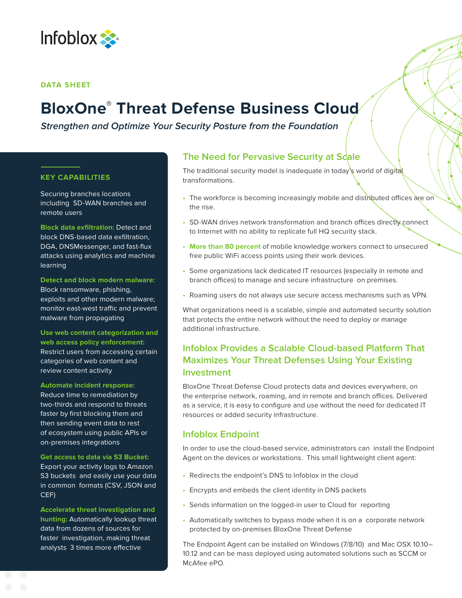

#### **DATA SHEET**

# **BloxOne ® Threat Defense Business Cloud**

**Strengthen and Optimize Your Security Posture from the Foundation**

#### **KEY CAPABILITIES**

Securing branches locations including SD-WAN branches and remote users

**Block data exfiltration:** Detect and block DNS-based data exfiltration, DGA, DNSMessenger, and fast-flux attacks using analytics and machine learning

**Detect and block modern malware:** Block ransomware, phishing, exploits and other modern malware; monitor east-west traffic and prevent malware from propagating

**Use web content categorization and web access policy enforcement:**  Restrict users from accessing certain categories of web content and review content activity

**Automate incident response:**  Reduce time to remediation by two-thirds and respond to threats faster by first blocking them and then sending event data to rest of ecosystem using public APIs or on-premises integrations

**Get access to data via S3 Bucket:**  Export your activity logs to Amazon S3 buckets and easily use your data in common formats (CSV, JSON and CEF)

**Accelerate threat investigation and hunting:** Automatically lookup threat data from dozens of sources for faster investigation, making threat analysts 3 times more effective

## **The Need for Pervasive Security at Scale**

The traditional security model is inadequate in today's world of digital transformations.

- The workforce is becoming increasingly mobile and distributed offices are on the rise.
- SD-WAN drives network transformation and branch offices directly connect to Internet with no ability to replicate full HQ security stack.
- **More than 80 percent** of mobile knowledge workers connect to unsecured free public WiFi access points using their work devices.
- Some organizations lack dedicated IT resources (especially in remote and branch offices) to manage and secure infrastructure on premises.
- Roaming users do not always use secure access mechanisms such as VPN.

What organizations need is a scalable, simple and automated security solution that protects the entire network without the need to deploy or manage additional infrastructure.

# **Infoblox Provides a Scalable Cloud-based Platform That Maximizes Your Threat Defenses Using Your Existing Investment**

BloxOne Threat Defense Cloud protects data and devices everywhere, on the enterprise network, roaming, and in remote and branch offices. Delivered as a service, it is easy to configure and use without the need for dedicated IT resources or added security infrastructure.

## **Infoblox Endpoint**

In order to use the cloud-based service, administrators can install the Endpoint Agent on the devices or workstations. This small lightweight client agent:

- Redirects the endpoint's DNS to Infoblox in the cloud
- Encrypts and embeds the client identity in DNS packets
- Sends information on the logged-in user to Cloud for reporting
- Automatically switches to bypass mode when it is on a corporate network protected by on-premises BloxOne Threat Defense

The Endpoint Agent can be installed on Windows (7/8/10) and Mac OSX 10.10– 10.12 and can be mass deployed using automated solutions such as SCCM or McAfee ePO.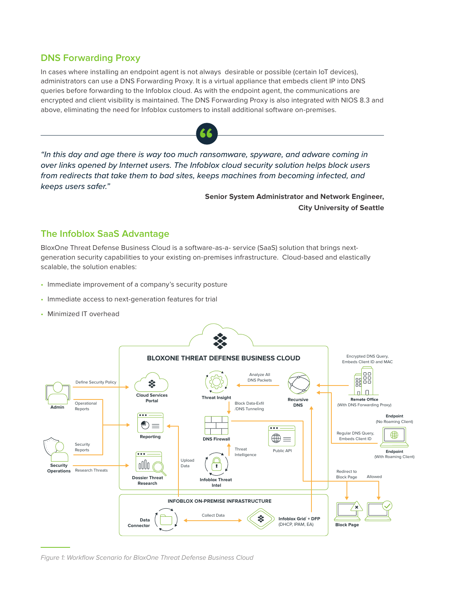## **DNS Forwarding Proxy**

In cases where installing an endpoint agent is not always desirable or possible (certain IoT devices), administrators can use a DNS Forwarding Proxy. It is a virtual appliance that embeds client IP into DNS queries before forwarding to the Infoblox cloud. As with the endpoint agent, the communications are encrypted and client visibility is maintained. The DNS Forwarding Proxy is also integrated with NIOS 8.3 and above, eliminating the need for Infoblox customers to install additional software on-premises.



*"In this day and age there is way too much ransomware, spyware, and adware coming in*  **"** *over links opened by Internet users. The Infoblox cloud security solution helps block users from redirects that take them to bad sites, keeps machines from becoming infected, and keeps users safer."*

> **Senior System Administrator and Network Engineer, City University of Seattle**

## **The Infoblox SaaS Advantage**

BloxOne Threat Defense Business Cloud is a software-as-a- service (SaaS) solution that brings nextgeneration security capabilities to your existing on-premises infrastructure. Cloud-based and elastically scalable, the solution enables:

- Immediate improvement of a company's security posture
- Immediate access to next-generation features for trial
- Minimized IT overhead



Figure 1: Workflow Scenario for BloxOne Threat Defense Business Cloud